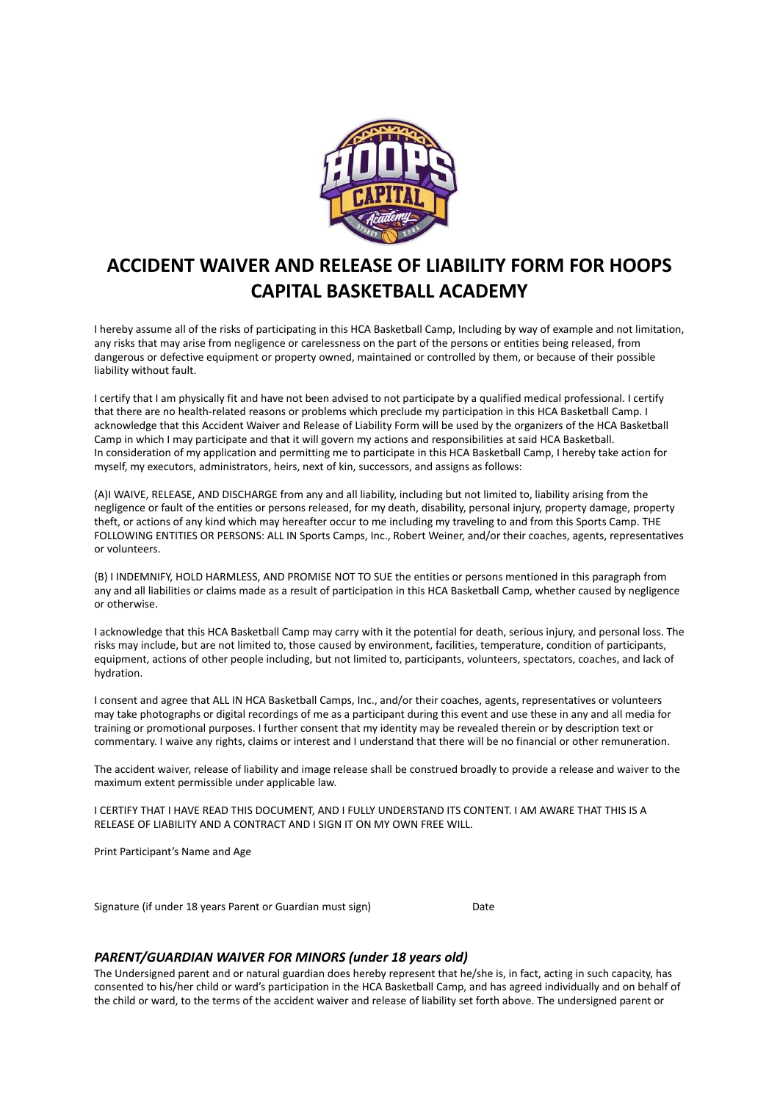

## **ACCIDENT WAIVER AND RELEASE OF LIABILITY FORM FOR HOOPS CAPITAL BASKETBALL ACADEMY**

I hereby assume all of the risks of participating in this HCA Basketball Camp, Including by way of example and not limitation, any risks that may arise from negligence or carelessness on the part of the persons or entities being released, from dangerous or defective equipment or property owned, maintained or controlled by them, or because of their possible liability without fault.

I certify that I am physically fit and have not been advised to not participate by a qualified medical professional. I certify that there are no health-related reasons or problems which preclude my participation in this HCA Basketball Camp. I acknowledge that this Accident Waiver and Release of Liability Form will be used by the organizers of the HCA Basketball Camp in which I may participate and that it will govern my actions and responsibilities at said HCA Basketball. In consideration of my application and permitting me to participate in this HCA Basketball Camp, I hereby take action for myself, my executors, administrators, heirs, next of kin, successors, and assigns as follows:

(A)I WAIVE, RELEASE, AND DISCHARGE from any and all liability, including but not limited to, liability arising from the negligence or fault of the entities or persons released, for my death, disability, personal injury, property damage, property theft, or actions of any kind which may hereafter occur to me including my traveling to and from this Sports Camp. THE FOLLOWING ENTITIES OR PERSONS: ALL IN Sports Camps, Inc., Robert Weiner, and/or their coaches, agents, representatives or volunteers.

(B) I INDEMNIFY, HOLD HARMLESS, AND PROMISE NOT TO SUE the entities or persons mentioned in this paragraph from any and all liabilities or claims made as a result of participation in this HCA Basketball Camp, whether caused by negligence or otherwise.

I acknowledge that this HCA Basketball Camp may carry with it the potential for death, serious injury, and personal loss. The risks may include, but are not limited to, those caused by environment, facilities, temperature, condition of participants, equipment, actions of other people including, but not limited to, participants, volunteers, spectators, coaches, and lack of hydration.

I consent and agree that ALL IN HCA Basketball Camps, Inc., and/or their coaches, agents, representatives or volunteers may take photographs or digital recordings of me as a participant during this event and use these in any and all media for training or promotional purposes. I further consent that my identity may be revealed therein or by description text or commentary. I waive any rights, claims or interest and I understand that there will be no financial or other remuneration.

The accident waiver, release of liability and image release shall be construed broadly to provide a release and waiver to the maximum extent permissible under applicable law.

I CERTIFY THAT I HAVE READ THIS DOCUMENT, AND I FULLY UNDERSTAND ITS CONTENT. I AM AWARE THAT THIS IS A RELEASE OF LIABILITY AND A CONTRACT AND I SIGN IT ON MY OWN FREE WILL.

Print Participant's Name and Age

Signature (if under 18 years Parent or Guardian must sign) Date

## *PARENT/GUARDIAN WAIVER FOR MINORS (under 18 years old)*

The Undersigned parent and or natural guardian does hereby represent that he/she is, in fact, acting in such capacity, has consented to his/her child or ward's participation in the HCA Basketball Camp, and has agreed individually and on behalf of the child or ward, to the terms of the accident waiver and release of liability set forth above. The undersigned parent or